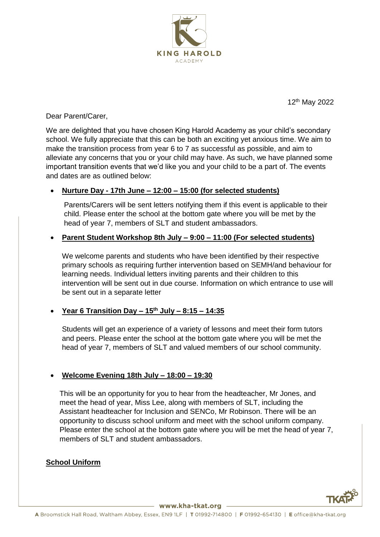

12th May 2022

Dear Parent/Carer,

We are delighted that you have chosen King Harold Academy as your child's secondary school. We fully appreciate that this can be both an exciting yet anxious time. We aim to make the transition process from year 6 to 7 as successful as possible, and aim to alleviate any concerns that you or your child may have. As such, we have planned some important transition events that we'd like you and your child to be a part of. The events and dates are as outlined below:

#### • **Nurture Day - 17th June – 12:00 – 15:00 (for selected students)**

Parents/Carers will be sent letters notifying them if this event is applicable to their child. Please enter the school at the bottom gate where you will be met by the head of year 7, members of SLT and student ambassadors.

## • **Parent Student Workshop 8th July – 9:00 – 11:00 (For selected students)**

We welcome parents and students who have been identified by their respective primary schools as requiring further intervention based on SEMH/and behaviour for learning needs. Individual letters inviting parents and their children to this intervention will be sent out in due course. Information on which entrance to use will be sent out in a separate letter

#### • **Year 6 Transition Day – 15th July – 8:15 – 14:35**

Students will get an experience of a variety of lessons and meet their form tutors and peers. Please enter the school at the bottom gate where you will be met the head of year 7, members of SLT and valued members of our school community.

#### • **Welcome Evening 18th July – 18:00 – 19:30**

This will be an opportunity for you to hear from the headteacher, Mr Jones, and meet the head of year, Miss Lee, along with members of SLT, including the Assistant headteacher for Inclusion and SENCo, Mr Robinson. There will be an opportunity to discuss school uniform and meet with the school uniform company. Please enter the school at the bottom gate where you will be met the head of year 7, members of SLT and student ambassadors.

# **School Uniform**